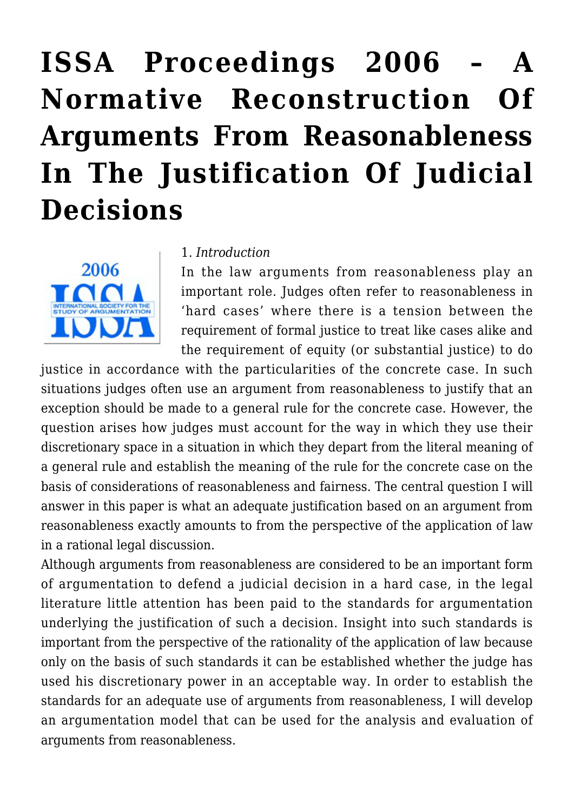# **[ISSA Proceedings 2006 – A](https://rozenbergquarterly.com/issa-proceedings-2006-a-normative-reconstruction-of-arguments-from-reasonableness-in-the-justification-of-judicial-decisions/) [Normative Reconstruction Of](https://rozenbergquarterly.com/issa-proceedings-2006-a-normative-reconstruction-of-arguments-from-reasonableness-in-the-justification-of-judicial-decisions/) [Arguments From Reasonableness](https://rozenbergquarterly.com/issa-proceedings-2006-a-normative-reconstruction-of-arguments-from-reasonableness-in-the-justification-of-judicial-decisions/) [In The Justification Of Judicial](https://rozenbergquarterly.com/issa-proceedings-2006-a-normative-reconstruction-of-arguments-from-reasonableness-in-the-justification-of-judicial-decisions/) [Decisions](https://rozenbergquarterly.com/issa-proceedings-2006-a-normative-reconstruction-of-arguments-from-reasonableness-in-the-justification-of-judicial-decisions/)**



#### 1. *Introduction*

In the law arguments from reasonableness play an important role. Judges often refer to reasonableness in 'hard cases' where there is a tension between the requirement of formal justice to treat like cases alike and the requirement of equity (or substantial justice) to do

justice in accordance with the particularities of the concrete case. In such situations judges often use an argument from reasonableness to justify that an exception should be made to a general rule for the concrete case. However, the question arises how judges must account for the way in which they use their discretionary space in a situation in which they depart from the literal meaning of a general rule and establish the meaning of the rule for the concrete case on the basis of considerations of reasonableness and fairness. The central question I will answer in this paper is what an adequate justification based on an argument from reasonableness exactly amounts to from the perspective of the application of law in a rational legal discussion.

Although arguments from reasonableness are considered to be an important form of argumentation to defend a judicial decision in a hard case, in the legal literature little attention has been paid to the standards for argumentation underlying the justification of such a decision. Insight into such standards is important from the perspective of the rationality of the application of law because only on the basis of such standards it can be established whether the judge has used his discretionary power in an acceptable way. In order to establish the standards for an adequate use of arguments from reasonableness, I will develop an argumentation model that can be used for the analysis and evaluation of arguments from reasonableness.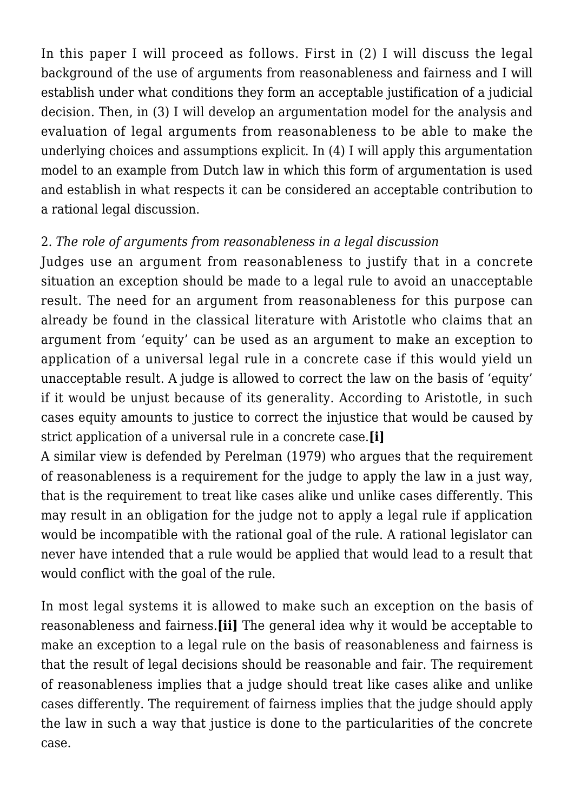In this paper I will proceed as follows. First in (2) I will discuss the legal background of the use of arguments from reasonableness and fairness and I will establish under what conditions they form an acceptable justification of a judicial decision. Then, in (3) I will develop an argumentation model for the analysis and evaluation of legal arguments from reasonableness to be able to make the underlying choices and assumptions explicit. In (4) I will apply this argumentation model to an example from Dutch law in which this form of argumentation is used and establish in what respects it can be considered an acceptable contribution to a rational legal discussion.

## 2. *The role of arguments from reasonableness in a legal discussion*

Judges use an argument from reasonableness to justify that in a concrete situation an exception should be made to a legal rule to avoid an unacceptable result. The need for an argument from reasonableness for this purpose can already be found in the classical literature with Aristotle who claims that an argument from 'equity' can be used as an argument to make an exception to application of a universal legal rule in a concrete case if this would yield un unacceptable result. A judge is allowed to correct the law on the basis of 'equity' if it would be unjust because of its generality. According to Aristotle, in such cases equity amounts to justice to correct the injustice that would be caused by strict application of a universal rule in a concrete case.**[i]**

A similar view is defended by Perelman (1979) who argues that the requirement of reasonableness is a requirement for the judge to apply the law in a just way, that is the requirement to treat like cases alike und unlike cases differently. This may result in an obligation for the judge not to apply a legal rule if application would be incompatible with the rational goal of the rule. A rational legislator can never have intended that a rule would be applied that would lead to a result that would conflict with the goal of the rule.

In most legal systems it is allowed to make such an exception on the basis of reasonableness and fairness.**[ii]** The general idea why it would be acceptable to make an exception to a legal rule on the basis of reasonableness and fairness is that the result of legal decisions should be reasonable and fair. The requirement of reasonableness implies that a judge should treat like cases alike and unlike cases differently. The requirement of fairness implies that the judge should apply the law in such a way that justice is done to the particularities of the concrete case.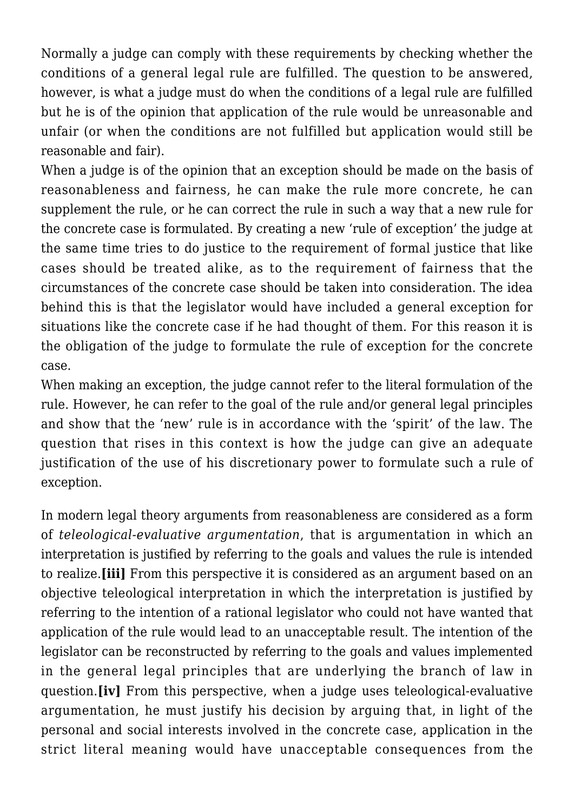Normally a judge can comply with these requirements by checking whether the conditions of a general legal rule are fulfilled. The question to be answered, however, is what a judge must do when the conditions of a legal rule are fulfilled but he is of the opinion that application of the rule would be unreasonable and unfair (or when the conditions are not fulfilled but application would still be reasonable and fair).

When a judge is of the opinion that an exception should be made on the basis of reasonableness and fairness, he can make the rule more concrete, he can supplement the rule, or he can correct the rule in such a way that a new rule for the concrete case is formulated. By creating a new 'rule of exception' the judge at the same time tries to do justice to the requirement of formal justice that like cases should be treated alike, as to the requirement of fairness that the circumstances of the concrete case should be taken into consideration. The idea behind this is that the legislator would have included a general exception for situations like the concrete case if he had thought of them. For this reason it is the obligation of the judge to formulate the rule of exception for the concrete case.

When making an exception, the judge cannot refer to the literal formulation of the rule. However, he can refer to the goal of the rule and/or general legal principles and show that the 'new' rule is in accordance with the 'spirit' of the law. The question that rises in this context is how the judge can give an adequate justification of the use of his discretionary power to formulate such a rule of exception.

In modern legal theory arguments from reasonableness are considered as a form of *teleological-evaluative argumentation*, that is argumentation in which an interpretation is justified by referring to the goals and values the rule is intended to realize.**[iii]** From this perspective it is considered as an argument based on an objective teleological interpretation in which the interpretation is justified by referring to the intention of a rational legislator who could not have wanted that application of the rule would lead to an unacceptable result. The intention of the legislator can be reconstructed by referring to the goals and values implemented in the general legal principles that are underlying the branch of law in question.**[iv]** From this perspective, when a judge uses teleological-evaluative argumentation, he must justify his decision by arguing that, in light of the personal and social interests involved in the concrete case, application in the strict literal meaning would have unacceptable consequences from the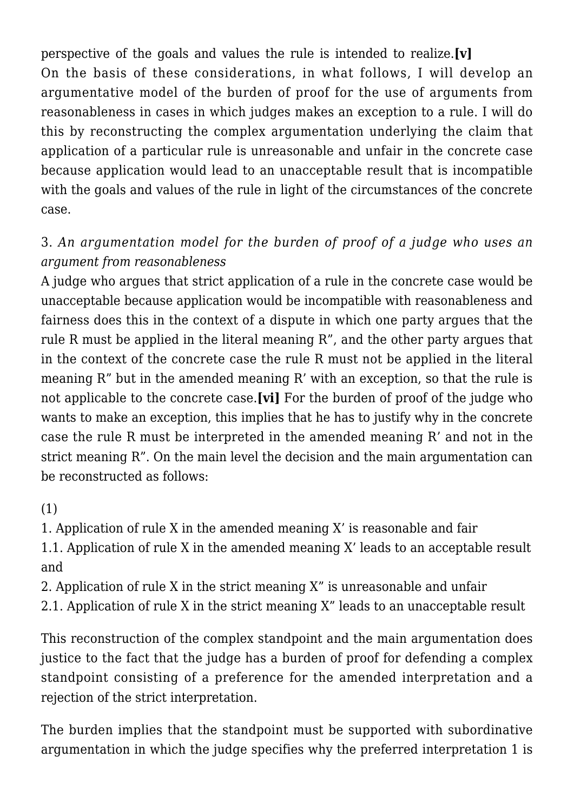perspective of the goals and values the rule is intended to realize.**[v]** On the basis of these considerations, in what follows, I will develop an argumentative model of the burden of proof for the use of arguments from reasonableness in cases in which judges makes an exception to a rule. I will do this by reconstructing the complex argumentation underlying the claim that application of a particular rule is unreasonable and unfair in the concrete case because application would lead to an unacceptable result that is incompatible with the goals and values of the rule in light of the circumstances of the concrete case.

## 3. *An argumentation model for the burden of proof of a judge who uses an argument from reasonableness*

A judge who argues that strict application of a rule in the concrete case would be unacceptable because application would be incompatible with reasonableness and fairness does this in the context of a dispute in which one party argues that the rule R must be applied in the literal meaning R", and the other party argues that in the context of the concrete case the rule R must not be applied in the literal meaning R" but in the amended meaning R' with an exception, so that the rule is not applicable to the concrete case.**[vi]** For the burden of proof of the judge who wants to make an exception, this implies that he has to justify why in the concrete case the rule R must be interpreted in the amended meaning R' and not in the strict meaning R". On the main level the decision and the main argumentation can be reconstructed as follows:

(1)

1. Application of rule X in the amended meaning X' is reasonable and fair

1.1. Application of rule X in the amended meaning X' leads to an acceptable result and

2. Application of rule X in the strict meaning X" is unreasonable and unfair

2.1. Application of rule X in the strict meaning X" leads to an unacceptable result

This reconstruction of the complex standpoint and the main argumentation does justice to the fact that the judge has a burden of proof for defending a complex standpoint consisting of a preference for the amended interpretation and a rejection of the strict interpretation.

The burden implies that the standpoint must be supported with subordinative argumentation in which the judge specifies why the preferred interpretation 1 is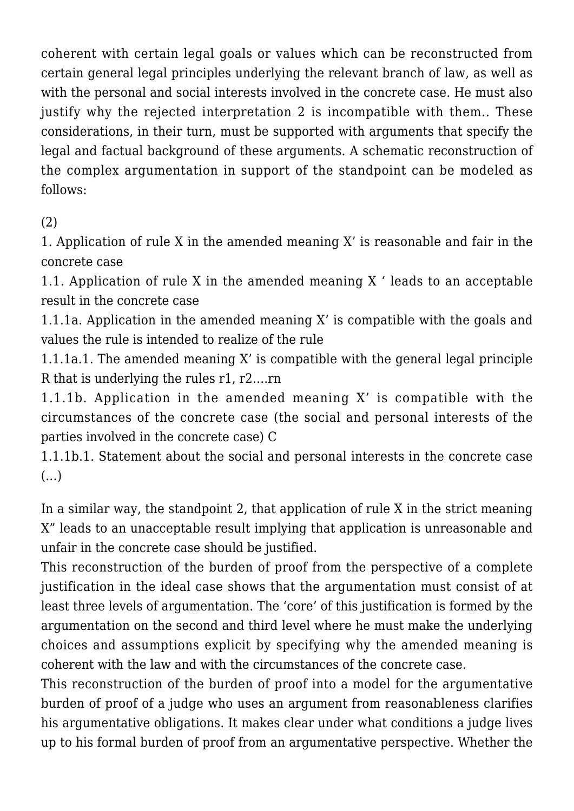coherent with certain legal goals or values which can be reconstructed from certain general legal principles underlying the relevant branch of law, as well as with the personal and social interests involved in the concrete case. He must also justify why the rejected interpretation 2 is incompatible with them.. These considerations, in their turn, must be supported with arguments that specify the legal and factual background of these arguments. A schematic reconstruction of the complex argumentation in support of the standpoint can be modeled as follows:

(2)

1. Application of rule X in the amended meaning X' is reasonable and fair in the concrete case

1.1. Application of rule X in the amended meaning X ' leads to an acceptable result in the concrete case

1.1.1a. Application in the amended meaning X' is compatible with the goals and values the rule is intended to realize of the rule

1.1.1a.1. The amended meaning X' is compatible with the general legal principle R that is underlying the rules r1, r2….rn

1.1.1b. Application in the amended meaning X' is compatible with the circumstances of the concrete case (the social and personal interests of the parties involved in the concrete case) C

1.1.1b.1. Statement about the social and personal interests in the concrete case (…)

In a similar way, the standpoint 2, that application of rule X in the strict meaning X" leads to an unacceptable result implying that application is unreasonable and unfair in the concrete case should be justified.

This reconstruction of the burden of proof from the perspective of a complete justification in the ideal case shows that the argumentation must consist of at least three levels of argumentation. The 'core' of this justification is formed by the argumentation on the second and third level where he must make the underlying choices and assumptions explicit by specifying why the amended meaning is coherent with the law and with the circumstances of the concrete case.

This reconstruction of the burden of proof into a model for the argumentative burden of proof of a judge who uses an argument from reasonableness clarifies his argumentative obligations. It makes clear under what conditions a judge lives up to his formal burden of proof from an argumentative perspective. Whether the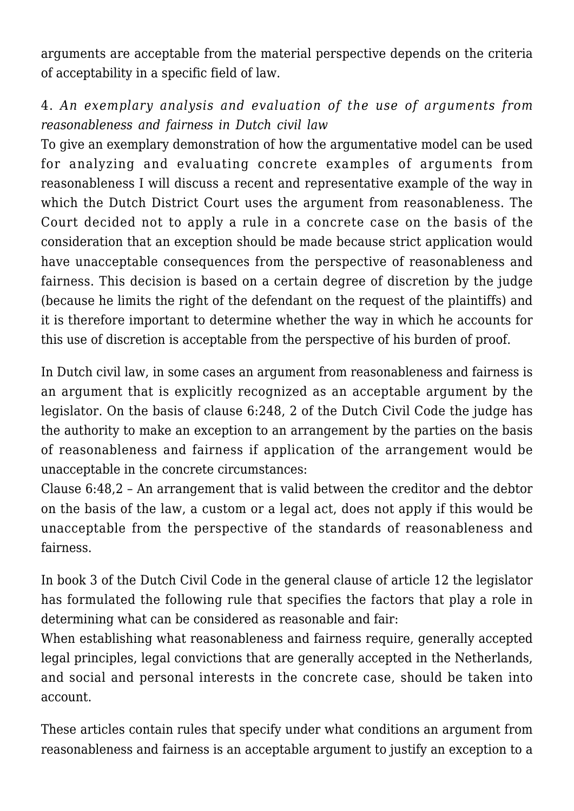arguments are acceptable from the material perspective depends on the criteria of acceptability in a specific field of law.

## 4. *An exemplary analysis and evaluation of the use of arguments from reasonableness and fairness in Dutch civil law*

To give an exemplary demonstration of how the argumentative model can be used for analyzing and evaluating concrete examples of arguments from reasonableness I will discuss a recent and representative example of the way in which the Dutch District Court uses the argument from reasonableness. The Court decided not to apply a rule in a concrete case on the basis of the consideration that an exception should be made because strict application would have unacceptable consequences from the perspective of reasonableness and fairness. This decision is based on a certain degree of discretion by the judge (because he limits the right of the defendant on the request of the plaintiffs) and it is therefore important to determine whether the way in which he accounts for this use of discretion is acceptable from the perspective of his burden of proof.

In Dutch civil law, in some cases an argument from reasonableness and fairness is an argument that is explicitly recognized as an acceptable argument by the legislator. On the basis of clause 6:248, 2 of the Dutch Civil Code the judge has the authority to make an exception to an arrangement by the parties on the basis of reasonableness and fairness if application of the arrangement would be unacceptable in the concrete circumstances:

Clause 6:48,2 – An arrangement that is valid between the creditor and the debtor on the basis of the law, a custom or a legal act, does not apply if this would be unacceptable from the perspective of the standards of reasonableness and fairness.

In book 3 of the Dutch Civil Code in the general clause of article 12 the legislator has formulated the following rule that specifies the factors that play a role in determining what can be considered as reasonable and fair:

When establishing what reasonableness and fairness require, generally accepted legal principles, legal convictions that are generally accepted in the Netherlands, and social and personal interests in the concrete case, should be taken into account.

These articles contain rules that specify under what conditions an argument from reasonableness and fairness is an acceptable argument to justify an exception to a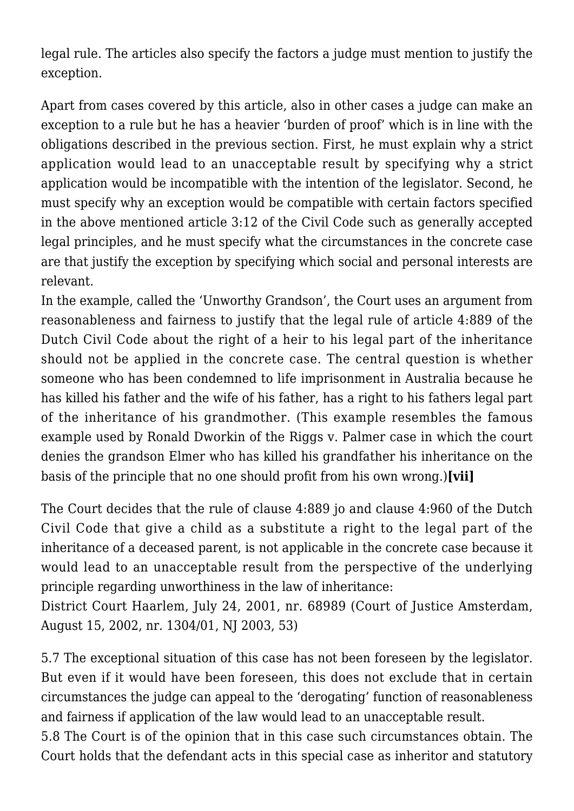legal rule. The articles also specify the factors a judge must mention to justify the exception.

Apart from cases covered by this article, also in other cases a judge can make an exception to a rule but he has a heavier 'burden of proof' which is in line with the obligations described in the previous section. First, he must explain why a strict application would lead to an unacceptable result by specifying why a strict application would be incompatible with the intention of the legislator. Second, he must specify why an exception would be compatible with certain factors specified in the above mentioned article 3:12 of the Civil Code such as generally accepted legal principles, and he must specify what the circumstances in the concrete case are that justify the exception by specifying which social and personal interests are relevant.

In the example, called the 'Unworthy Grandson', the Court uses an argument from reasonableness and fairness to justify that the legal rule of article 4:889 of the Dutch Civil Code about the right of a heir to his legal part of the inheritance should not be applied in the concrete case. The central question is whether someone who has been condemned to life imprisonment in Australia because he has killed his father and the wife of his father, has a right to his fathers legal part of the inheritance of his grandmother. (This example resembles the famous example used by Ronald Dworkin of the Riggs v. Palmer case in which the court denies the grandson Elmer who has killed his grandfather his inheritance on the basis of the principle that no one should profit from his own wrong.)**[vii]**

The Court decides that the rule of clause 4:889 jo and clause 4:960 of the Dutch Civil Code that give a child as a substitute a right to the legal part of the inheritance of a deceased parent, is not applicable in the concrete case because it would lead to an unacceptable result from the perspective of the underlying principle regarding unworthiness in the law of inheritance:

District Court Haarlem, July 24, 2001, nr. 68989 (Court of Justice Amsterdam, August 15, 2002, nr. 1304/01, NJ 2003, 53)

5.7 The exceptional situation of this case has not been foreseen by the legislator. But even if it would have been foreseen, this does not exclude that in certain circumstances the judge can appeal to the 'derogating' function of reasonableness and fairness if application of the law would lead to an unacceptable result.

5.8 The Court is of the opinion that in this case such circumstances obtain. The Court holds that the defendant acts in this special case as inheritor and statutory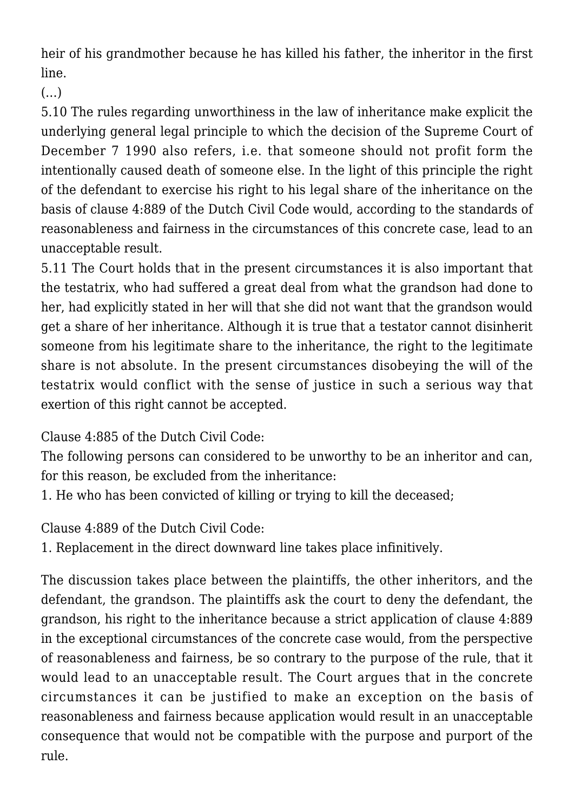heir of his grandmother because he has killed his father, the inheritor in the first line.

(…)

5.10 The rules regarding unworthiness in the law of inheritance make explicit the underlying general legal principle to which the decision of the Supreme Court of December 7 1990 also refers, i.e. that someone should not profit form the intentionally caused death of someone else. In the light of this principle the right of the defendant to exercise his right to his legal share of the inheritance on the basis of clause 4:889 of the Dutch Civil Code would, according to the standards of reasonableness and fairness in the circumstances of this concrete case, lead to an unacceptable result.

5.11 The Court holds that in the present circumstances it is also important that the testatrix, who had suffered a great deal from what the grandson had done to her, had explicitly stated in her will that she did not want that the grandson would get a share of her inheritance. Although it is true that a testator cannot disinherit someone from his legitimate share to the inheritance, the right to the legitimate share is not absolute. In the present circumstances disobeying the will of the testatrix would conflict with the sense of justice in such a serious way that exertion of this right cannot be accepted.

Clause 4:885 of the Dutch Civil Code:

The following persons can considered to be unworthy to be an inheritor and can, for this reason, be excluded from the inheritance:

1. He who has been convicted of killing or trying to kill the deceased;

Clause 4:889 of the Dutch Civil Code:

1. Replacement in the direct downward line takes place infinitively.

The discussion takes place between the plaintiffs, the other inheritors, and the defendant, the grandson. The plaintiffs ask the court to deny the defendant, the grandson, his right to the inheritance because a strict application of clause 4:889 in the exceptional circumstances of the concrete case would, from the perspective of reasonableness and fairness, be so contrary to the purpose of the rule, that it would lead to an unacceptable result. The Court argues that in the concrete circumstances it can be justified to make an exception on the basis of reasonableness and fairness because application would result in an unacceptable consequence that would not be compatible with the purpose and purport of the rule.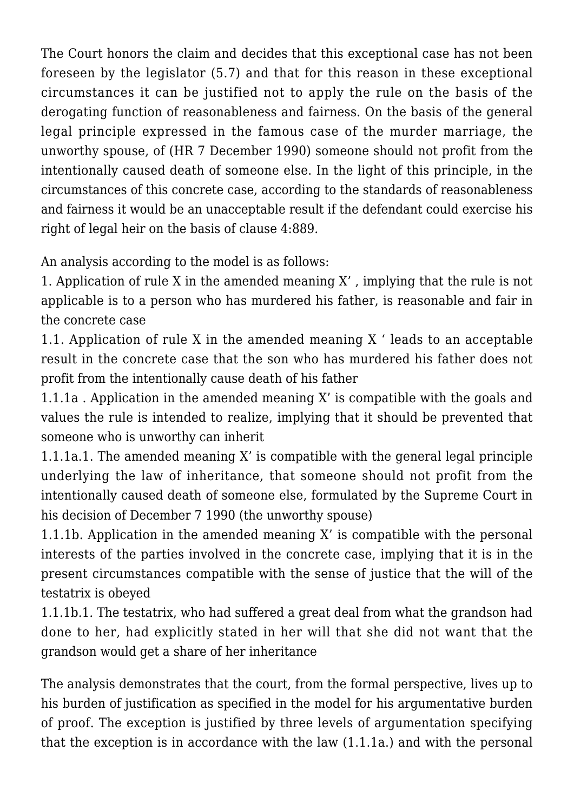The Court honors the claim and decides that this exceptional case has not been foreseen by the legislator (5.7) and that for this reason in these exceptional circumstances it can be justified not to apply the rule on the basis of the derogating function of reasonableness and fairness. On the basis of the general legal principle expressed in the famous case of the murder marriage, the unworthy spouse, of (HR 7 December 1990) someone should not profit from the intentionally caused death of someone else. In the light of this principle, in the circumstances of this concrete case, according to the standards of reasonableness and fairness it would be an unacceptable result if the defendant could exercise his right of legal heir on the basis of clause 4:889.

An analysis according to the model is as follows:

1. Application of rule X in the amended meaning X' , implying that the rule is not applicable is to a person who has murdered his father, is reasonable and fair in the concrete case

1.1. Application of rule X in the amended meaning X ' leads to an acceptable result in the concrete case that the son who has murdered his father does not profit from the intentionally cause death of his father

1.1.1a . Application in the amended meaning X' is compatible with the goals and values the rule is intended to realize, implying that it should be prevented that someone who is unworthy can inherit

1.1.1a.1. The amended meaning X' is compatible with the general legal principle underlying the law of inheritance, that someone should not profit from the intentionally caused death of someone else, formulated by the Supreme Court in his decision of December 7 1990 (the unworthy spouse)

1.1.1b. Application in the amended meaning X' is compatible with the personal interests of the parties involved in the concrete case, implying that it is in the present circumstances compatible with the sense of justice that the will of the testatrix is obeyed

1.1.1b.1. The testatrix, who had suffered a great deal from what the grandson had done to her, had explicitly stated in her will that she did not want that the grandson would get a share of her inheritance

The analysis demonstrates that the court, from the formal perspective, lives up to his burden of justification as specified in the model for his argumentative burden of proof. The exception is justified by three levels of argumentation specifying that the exception is in accordance with the law (1.1.1a.) and with the personal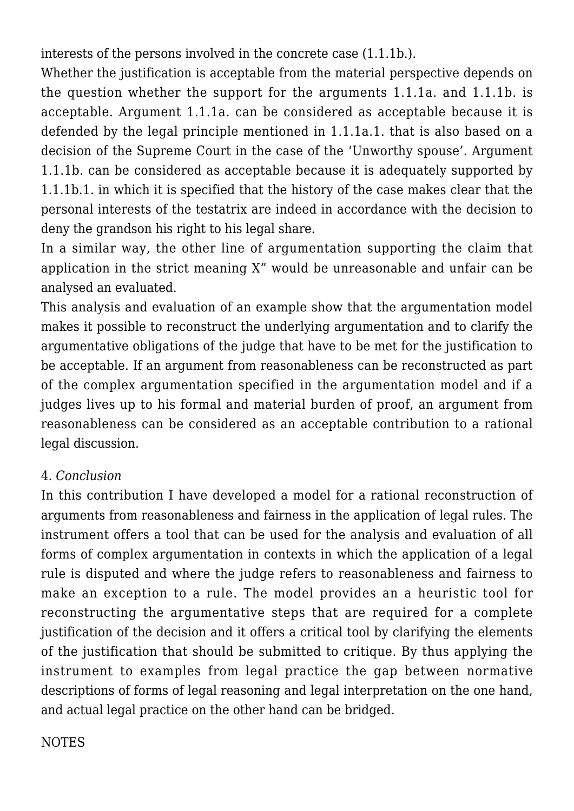interests of the persons involved in the concrete case (1.1.1b.).

Whether the justification is acceptable from the material perspective depends on the question whether the support for the arguments 1.1.1a. and 1.1.1b. is acceptable. Argument 1.1.1a. can be considered as acceptable because it is defended by the legal principle mentioned in 1.1.1a.1. that is also based on a decision of the Supreme Court in the case of the 'Unworthy spouse'. Argument 1.1.1b. can be considered as acceptable because it is adequately supported by 1.1.1b.1. in which it is specified that the history of the case makes clear that the personal interests of the testatrix are indeed in accordance with the decision to deny the grandson his right to his legal share.

In a similar way, the other line of argumentation supporting the claim that application in the strict meaning X" would be unreasonable and unfair can be analysed an evaluated.

This analysis and evaluation of an example show that the argumentation model makes it possible to reconstruct the underlying argumentation and to clarify the argumentative obligations of the judge that have to be met for the justification to be acceptable. If an argument from reasonableness can be reconstructed as part of the complex argumentation specified in the argumentation model and if a judges lives up to his formal and material burden of proof, an argument from reasonableness can be considered as an acceptable contribution to a rational legal discussion.

## 4. *Conclusion*

In this contribution I have developed a model for a rational reconstruction of arguments from reasonableness and fairness in the application of legal rules. The instrument offers a tool that can be used for the analysis and evaluation of all forms of complex argumentation in contexts in which the application of a legal rule is disputed and where the judge refers to reasonableness and fairness to make an exception to a rule. The model provides an a heuristic tool for reconstructing the argumentative steps that are required for a complete justification of the decision and it offers a critical tool by clarifying the elements of the justification that should be submitted to critique. By thus applying the instrument to examples from legal practice the gap between normative descriptions of forms of legal reasoning and legal interpretation on the one hand, and actual legal practice on the other hand can be bridged.

### **NOTES**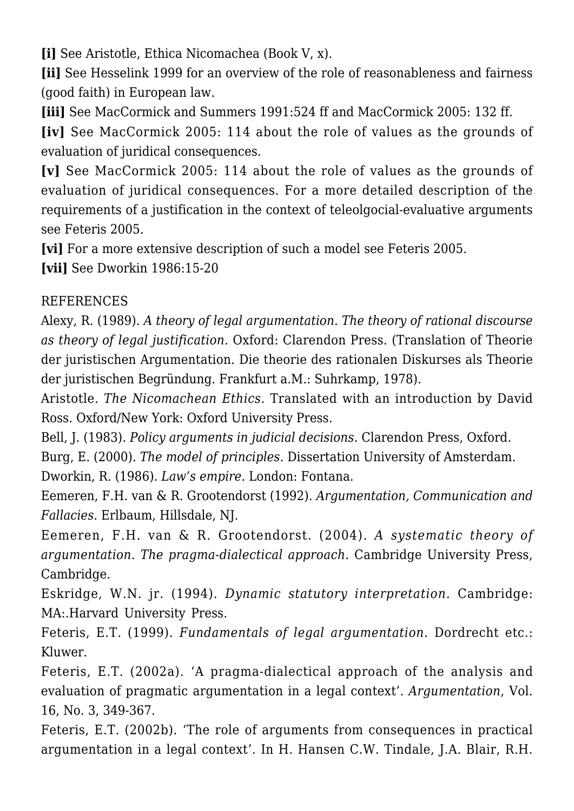**[i]** See Aristotle, Ethica Nicomachea (Book V, x).

**[ii]** See Hesselink 1999 for an overview of the role of reasonableness and fairness (good faith) in European law.

**[iii]** See MacCormick and Summers 1991:524 ff and MacCormick 2005: 132 ff.

**[iv]** See MacCormick 2005: 114 about the role of values as the grounds of evaluation of juridical consequences.

**[v]** See MacCormick 2005: 114 about the role of values as the grounds of evaluation of juridical consequences. For a more detailed description of the requirements of a justification in the context of teleolgocial-evaluative arguments see Feteris 2005.

**[vi]** For a more extensive description of such a model see Feteris 2005.

**[vii]** See Dworkin 1986:15-20

### REFERENCES

Alexy, R. (1989). *A theory of legal argumentation. The theory of rational discourse as theory of legal justification.* Oxford: Clarendon Press. (Translation of Theorie der juristischen Argumentation. Die theorie des rationalen Diskurses als Theorie der juristischen Begründung. Frankfurt a.M.: Suhrkamp, 1978).

Aristotle. *The Nicomachean Ethics.* Translated with an introduction by David Ross. Oxford/New York: Oxford University Press.

Bell, J. (1983). *Policy arguments in judicial decisions*. Clarendon Press, Oxford. Burg, E. (2000). *The model of principles*. Dissertation University of Amsterdam. Dworkin, R. (1986). *Law's empire.* London: Fontana.

Eemeren, F.H. van & R. Grootendorst (1992). *Argumentation, Communication and Fallacies.* Erlbaum, Hillsdale, NJ.

Eemeren, F.H. van & R. Grootendorst. (2004). *A systematic theory of argumentation. The pragma-dialectical approach.* Cambridge University Press, Cambridge.

Eskridge, W.N. jr. (1994). *Dynamic statutory interpretation.* Cambridge: MA:.Harvard University Press.

Feteris, E.T. (1999). *Fundamentals of legal argumentation.* Dordrecht etc.: Kluwer.

Feteris, E.T. (2002a). 'A pragma-dialectical approach of the analysis and evaluation of pragmatic argumentation in a legal context'. *Argumentation*, Vol. 16, No. 3, 349-367.

Feteris, E.T. (2002b). 'The role of arguments from consequences in practical argumentation in a legal context'. In H. Hansen C.W. Tindale, J.A. Blair, R.H.